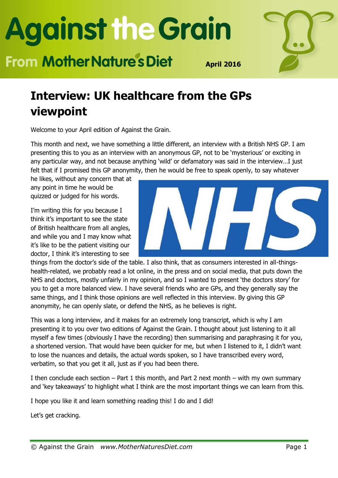### **From Mother Nature's Diet**



**April 2016**

#### **Interview: UK healthcare from the GPs viewpoint**

Welcome to your April edition of Against the Grain.

This month and next, we have something a little different, an interview with a British NHS GP. I am presenting this to you as an interview with an anonymous GP, not to be 'mysterious' or exciting in any particular way, and not because anything 'wild' or defamatory was said in the interview…I just felt that if I promised this GP anonymity, then he would be free to speak openly, to say whatever

he likes, without any concern that at any point in time he would be quizzed or judged for his words.

I'm writing this for you because I think it's important to see the state of British healthcare from all angles, and while you and I may know what it's like to be the patient visiting our doctor, I think it's interesting to see



things from the doctor's side of the table. I also think, that as consumers interested in all-thingshealth-related, we probably read a lot online, in the press and on social media, that puts down the NHS and doctors, mostly unfairly in my opinion, and so I wanted to present 'the doctors story' for you to get a more balanced view. I have several friends who are GPs, and they generally say the same things, and I think those opinions are well reflected in this interview. By giving this GP anonymity, he can openly slate, or defend the NHS, as he believes is right.

This was a long interview, and it makes for an extremely long transcript, which is why I am presenting it to you over two editions of Against the Grain. I thought about just listening to it all myself a few times (obviously I have the recording) then summarising and paraphrasing it for you, a shortened version. That would have been quicker for me, but when I listened to it, I didn't want to lose the nuances and details, the actual words spoken, so I have transcribed every word, verbatim, so that you get it all, just as if you had been there.

I then conclude each section  $-$  Part 1 this month, and Part 2 next month  $-$  with my own summary and 'key takeaways' to highlight what I think are the most important things we can learn from this.

I hope you like it and learn something reading this! I do and I did!

Let's get cracking.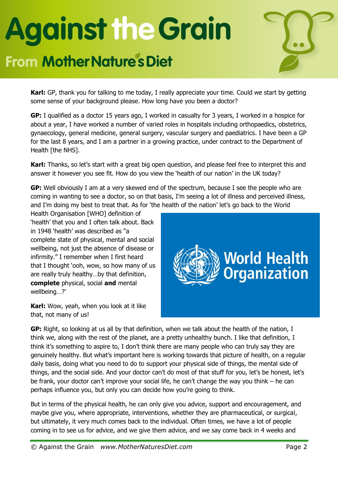#### **From Mother Nature's Diet**



**Karl:** GP, thank you for talking to me today, I really appreciate your time. Could we start by getting some sense of your background please. How long have you been a doctor?

**GP:** I qualified as a doctor 15 years ago, I worked in casualty for 3 years, I worked in a hospice for about a year, I have worked a number of varied roles in hospitals including orthopaedics, obstetrics, gynaecology, general medicine, general surgery, vascular surgery and paediatrics. I have been a GP for the last 8 years, and I am a partner in a growing practice, under contract to the Department of Health [the NHS].

**Karl:** Thanks, so let's start with a great big open question, and please feel free to interpret this and answer it however you see fit. How do you view the 'health of our nation' in the UK today?

**GP:** Well obviously I am at a very skewed end of the spectrum, because I see the people who are coming in wanting to see a doctor, so on that basis, I'm seeing a lot of illness and perceived illness, and I'm doing my best to treat that. As for 'the health of the nation' let's go back to the World

Health Organisation [WHO] definition of 'health' that you and I often talk about. Back in 1948 'health' was described as "a complete state of physical, mental and social wellbeing, not just the absence of disease or infirmity." I remember when I first heard that I thought 'ooh, wow, so how many of us are really truly healthy…by that definition, **complete** physical, social **and** mental wellbeing…?'

**Karl:** Wow, yeah, when you look at it like that, not many of us!



**GP:** Right, so looking at us all by that definition, when we talk about the health of the nation, I think we, along with the rest of the planet, are a pretty unhealthy bunch. I like that definition, I think it's something to aspire to, I don't think there are many people who can truly say they are genuinely healthy. But what's important here is working towards that picture of health, on a regular daily basis, doing what you need to do to support your physical side of things, the mental side of things, and the social side. And your doctor can't do most of that stuff for you, let's be honest, let's be frank, your doctor can't improve your social life, he can't change the way you think – he can perhaps influence you, but only you can decide how you're going to think.

But in terms of the physical health, he can only give you advice, support and encouragement, and maybe give you, where appropriate, interventions, whether they are pharmaceutical, or surgical, but ultimately, it very much comes back to the individual. Often times, we have a lot of people coming in to see us for advice, and we give them advice, and we say come back in 4 weeks and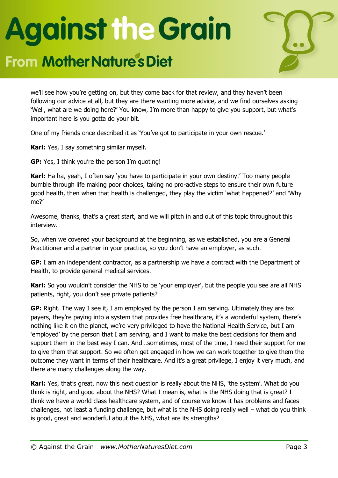#### **From Mother Nature's Diet**



we'll see how you're getting on, but they come back for that review, and they haven't been following our advice at all, but they are there wanting more advice, and we find ourselves asking 'Well, what are we doing here?' You know, I'm more than happy to give you support, but what's important here is you gotta do your bit.

One of my friends once described it as 'You've got to participate in your own rescue.'

**Karl:** Yes, I say something similar myself.

**GP:** Yes, I think you're the person I'm quoting!

**Karl:** Ha ha, yeah, I often say 'you have to participate in your own destiny.' Too many people bumble through life making poor choices, taking no pro-active steps to ensure their own future good health, then when that health is challenged, they play the victim 'what happened?' and 'Why me?'

Awesome, thanks, that's a great start, and we will pitch in and out of this topic throughout this interview.

So, when we covered your background at the beginning, as we established, you are a General Practitioner and a partner in your practice, so you don't have an employer, as such.

**GP:** I am an independent contractor, as a partnership we have a contract with the Department of Health, to provide general medical services.

**Karl:** So you wouldn't consider the NHS to be 'your employer', but the people you see are all NHS patients, right, you don't see private patients?

**GP:** Right. The way I see it, I am employed by the person I am serving. Ultimately they are tax payers, they're paying into a system that provides free healthcare, it's a wonderful system, there's nothing like it on the planet, we're very privileged to have the National Health Service, but I am 'employed' by the person that I am serving, and I want to make the best decisions for them and support them in the best way I can. And…sometimes, most of the time, I need their support for me to give them that support. So we often get engaged in how we can work together to give them the outcome they want in terms of their healthcare. And it's a great privilege, I enjoy it very much, and there are many challenges along the way.

**Karl:** Yes, that's great, now this next question is really about the NHS, 'the system'. What do you think is right, and good about the NHS? What I mean is, what is the NHS doing that is great? I think we have a world class healthcare system, and of course we know it has problems and faces challenges, not least a funding challenge, but what is the NHS doing really well – what do you think is good, great and wonderful about the NHS, what are its strengths?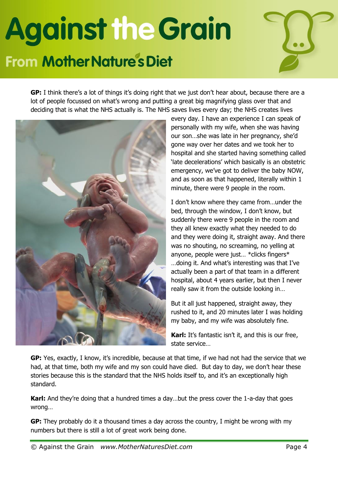### **Against the Grain From Mother Nature's Diet**



**GP:** I think there's a lot of things it's doing right that we just don't hear about, because there are a lot of people focussed on what's wrong and putting a great big magnifying glass over that and deciding that is what the NHS actually is. The NHS saves lives every day; the NHS creates lives



every day. I have an experience I can speak of personally with my wife, when she was having our son…she was late in her pregnancy, she'd gone way over her dates and we took her to hospital and she started having something called 'late decelerations' which basically is an obstetric emergency, we've got to deliver the baby NOW, and as soon as that happened, literally within 1 minute, there were 9 people in the room.

I don't know where they came from…under the bed, through the window, I don't know, but suddenly there were 9 people in the room and they all knew exactly what they needed to do and they were doing it, straight away. And there was no shouting, no screaming, no yelling at anyone, people were just… \*clicks fingers\* …doing it. And what's interesting was that I've actually been a part of that team in a different hospital, about 4 years earlier, but then I never really saw it from the outside looking in…

But it all just happened, straight away, they rushed to it, and 20 minutes later I was holding my baby, and my wife was absolutely fine.

**Karl:** It's fantastic isn't it, and this is our free, state service…

**GP:** Yes, exactly, I know, it's incredible, because at that time, if we had not had the service that we had, at that time, both my wife and my son could have died. But day to day, we don't hear these stories because this is the standard that the NHS holds itself to, and it's an exceptionally high standard.

**Karl:** And they're doing that a hundred times a day…but the press cover the 1-a-day that goes wrong…

**GP:** They probably do it a thousand times a day across the country, I might be wrong with my numbers but there is still a lot of great work being done.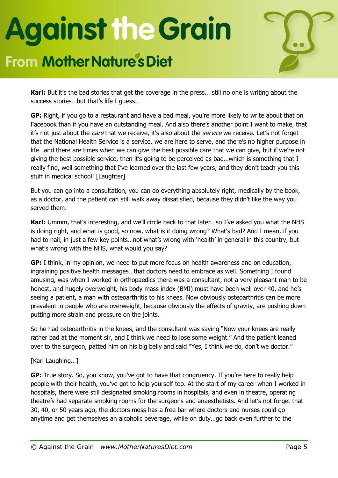### **From Mother Nature's Diet**



**Karl:** But it's the bad stories that get the coverage in the press… still no one is writing about the success stories…but that's life I guess…

**GP:** Right, if you go to a restaurant and have a bad meal, you're more likely to write about that on Facebook than if you have an outstanding meal. And also there's another point I want to make, that it's not just about the *care* that we receive, it's also about the *service* we receive. Let's not forget that the National Health Service is a service, we are here to serve, and there's no higher purpose in life…and there are times when we can give the best possible care that we can give, but if we're not giving the best possible service, then it's going to be perceived as bad…which is something that I really find, well something that I've learned over the last few years, and they don't teach you this stuff in medical school! [Laughter]

But you can go into a consultation, you can do everything absolutely right, medically by the book, as a doctor, and the patient can still walk away dissatisfied, because they didn't like the way you served them.

**Karl:** Ummm, that's interesting, and we'll circle back to that later…so I've asked you what the NHS is doing right, and what is good, so now, what is it doing wrong? What's bad? And I mean, if you had to nail, in just a few key points…not what's wrong with 'health' in general in this country, but what's wrong with the NHS, what would you say?

**GP:** I think, in my opinion, we need to put more focus on health awareness and on education, ingraining positive health messages…that doctors need to embrace as well. Something I found amusing, was when I worked in orthopaedics there was a consultant, not a very pleasant man to be honest, and hugely overweight, his body mass index (BMI) must have been well over 40, and he's seeing a patient, a man with osteoarthritis to his knees. Now obviously osteoarthritis can be more prevalent in people who are overweight, because obviously the effects of gravity, are pushing down putting more strain and pressure on the joints.

So he had osteoarthritis in the knees, and the consultant was saying "Now your knees are really rather bad at the moment sir, and I think we need to lose some weight." And the patient leaned over to the surgeon, patted him on his big belly and said "Yes, I think we do, don't we doctor."

#### [Karl Laughing…]

**GP:** True story. So, you know, you've got to have that congruency. If you're here to really help people with their health, you've got to help yourself too. At the start of my career when I worked in hospitals, there were still designated smoking rooms in hospitals, and even in theatre, operating theatre's had separate smoking rooms for the surgeons and anaesthetists. And let's not forget that 30, 40, or 50 years ago, the doctors mess has a free bar where doctors and nurses could go anytime and get themselves an alcoholic beverage, while on duty…go back even further to the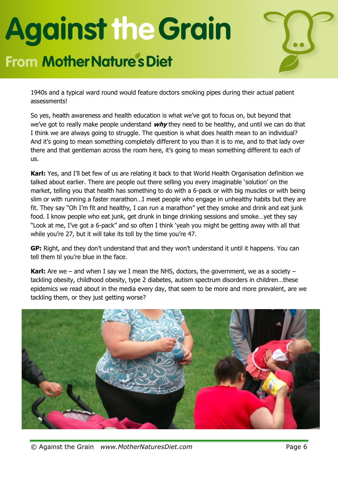### **From Mother Nature's Diet**



1940s and a typical ward round would feature doctors smoking pipes during their actual patient assessments!

So yes, health awareness and health education is what we've got to focus on, but beyond that we've got to really make people understand **why** they need to be healthy, and until we can do that I think we are always going to struggle. The question is what does health mean to an individual? And it's going to mean something completely different to you than it is to me, and to that lady over there and that gentleman across the room here, it's going to mean something different to each of us.

**Karl:** Yes, and I'll bet few of us are relating it back to that World Health Organisation definition we talked about earlier. There are people out there selling you every imaginable 'solution' on the market, telling you that health has something to do with a 6-pack or with big muscles or with being slim or with running a faster marathon…I meet people who engage in unhealthy habits but they are fit. They say "Oh I'm fit and healthy, I can run a marathon" yet they smoke and drink and eat junk food. I know people who eat junk, get drunk in binge drinking sessions and smoke…yet they say "Look at me, I've got a 6-pack" and so often I think 'yeah you might be getting away with all that while you're 27, but it will take its toll by the time you're 47.

**GP:** Right, and they don't understand that and they won't understand it until it happens. You can tell them til you're blue in the face.

**Karl:** Are we – and when I say we I mean the NHS, doctors, the government, we as a society – tackling obesity, childhood obesity, type 2 diabetes, autism spectrum disorders in children…these epidemics we read about in the media every day, that seem to be more and more prevalent, are we tackling them, or they just getting worse?

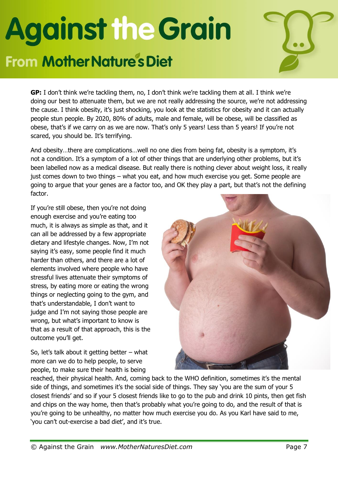### **From Mother Nature's Diet**



**GP:** I don't think we're tackling them, no, I don't think we're tackling them at all. I think we're doing our best to attenuate them, but we are not really addressing the source, we're not addressing the cause. I think obesity, it's just shocking, you look at the statistics for obesity and it can actually people stun people. By 2020, 80% of adults, male and female, will be obese, will be classified as obese, that's if we carry on as we are now. That's only 5 years! Less than 5 years! If you're not scared, you should be. It's terrifying.

And obesity…there are complications…well no one dies from being fat, obesity is a symptom, it's not a condition. It's a symptom of a lot of other things that are underlying other problems, but it's been labelled now as a medical disease. But really there is nothing clever about weight loss, it really just comes down to two things – what you eat, and how much exercise you get. Some people are going to argue that your genes are a factor too, and OK they play a part, but that's not the defining factor.

If you're still obese, then you're not doing enough exercise and you're eating too much, it is always as simple as that, and it can all be addressed by a few appropriate dietary and lifestyle changes. Now, I'm not saying it's easy, some people find it much harder than others, and there are a lot of elements involved where people who have stressful lives attenuate their symptoms of stress, by eating more or eating the wrong things or neglecting going to the gym, and that's understandable, I don't want to judge and I'm not saying those people are wrong, but what's important to know is that as a result of that approach, this is the outcome you'll get.

So, let's talk about it getting better  $-$  what more can we do to help people, to serve people, to make sure their health is being



reached, their physical health. And, coming back to the WHO definition, sometimes it's the mental side of things, and sometimes it's the social side of things. They say 'you are the sum of your 5 closest friends' and so if your 5 closest friends like to go to the pub and drink 10 pints, then get fish and chips on the way home, then that's probably what you're going to do, and the result of that is you're going to be unhealthy, no matter how much exercise you do. As you Karl have said to me, 'you can't out-exercise a bad diet', and it's true.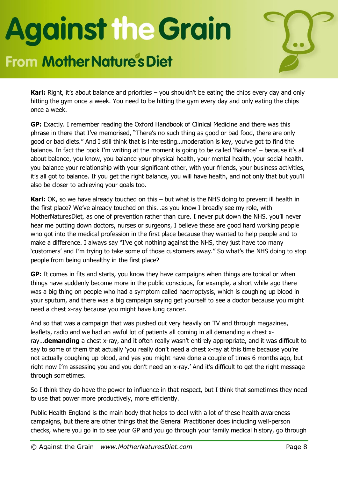#### **From Mother Nature's Diet**



**Karl:** Right, it's about balance and priorities – you shouldn't be eating the chips every day and only hitting the gym once a week. You need to be hitting the gym every day and only eating the chips once a week.

**GP:** Exactly. I remember reading the Oxford Handbook of Clinical Medicine and there was this phrase in there that I've memorised, "There's no such thing as good or bad food, there are only good or bad diets." And I still think that is interesting…moderation is key, you've got to find the balance. In fact the book I'm writing at the moment is going to be called 'Balance' – because it's all about balance, you know, you balance your physical health, your mental health, your social health, you balance your relationship with your significant other, with your friends, your business activities, it's all got to balance. If you get the right balance, you will have health, and not only that but you'll also be closer to achieving your goals too.

**Karl:** OK, so we have already touched on this – but what is the NHS doing to prevent ill health in the first place? We've already touched on this…as you know I broadly see my role, with MotherNaturesDiet, as one of prevention rather than cure. I never put down the NHS, you'll never hear me putting down doctors, nurses or surgeons, I believe these are good hard working people who got into the medical profession in the first place because they wanted to help people and to make a difference. I always say "I've got nothing against the NHS, they just have too many 'customers' and I'm trying to take some of those customers away." So what's the NHS doing to stop people from being unhealthy in the first place?

**GP:** It comes in fits and starts, you know they have campaigns when things are topical or when things have suddenly become more in the public conscious, for example, a short while ago there was a big thing on people who had a symptom called haemoptysis, which is coughing up blood in your sputum, and there was a big campaign saying get yourself to see a doctor because you might need a chest x-ray because you might have lung cancer.

And so that was a campaign that was pushed out very heavily on TV and through magazines, leaflets, radio and we had an awful lot of patients all coming in all demanding a chest xray…**demanding** a chest x-ray, and it often really wasn't entirely appropriate, and it was difficult to say to some of them that actually 'you really don't need a chest x-ray at this time because you're not actually coughing up blood, and yes you might have done a couple of times 6 months ago, but right now I'm assessing you and you don't need an x-ray.' And it's difficult to get the right message through sometimes.

So I think they do have the power to influence in that respect, but I think that sometimes they need to use that power more productively, more efficiently.

Public Health England is the main body that helps to deal with a lot of these health awareness campaigns, but there are other things that the General Practitioner does including well-person checks, where you go in to see your GP and you go through your family medical history, go through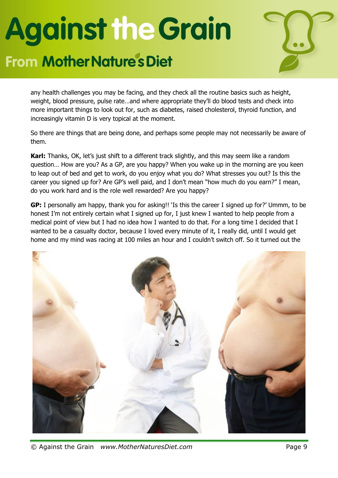#### **From Mother Nature's Diet**



any health challenges you may be facing, and they check all the routine basics such as height, weight, blood pressure, pulse rate…and where appropriate they'll do blood tests and check into more important things to look out for, such as diabetes, raised cholesterol, thyroid function, and increasingly vitamin D is very topical at the moment.

So there are things that are being done, and perhaps some people may not necessarily be aware of them.

**Karl:** Thanks, OK, let's just shift to a different track slightly, and this may seem like a random question… How are you? As a GP, are you happy? When you wake up in the morning are you keen to leap out of bed and get to work, do you enjoy what you do? What stresses you out? Is this the career you signed up for? Are GP's well paid, and I don't mean "how much do you earn?" I mean, do you work hard and is the role well rewarded? Are you happy?

**GP:** I personally am happy, thank you for asking!! 'Is this the career I signed up for?' Ummm, to be honest I'm not entirely certain what I signed up for, I just knew I wanted to help people from a medical point of view but I had no idea how I wanted to do that. For a long time I decided that I wanted to be a casualty doctor, because I loved every minute of it, I really did, until I would get home and my mind was racing at 100 miles an hour and I couldn't switch off. So it turned out the



© Against the Grain *www.MotherNaturesDiet.com* Page 9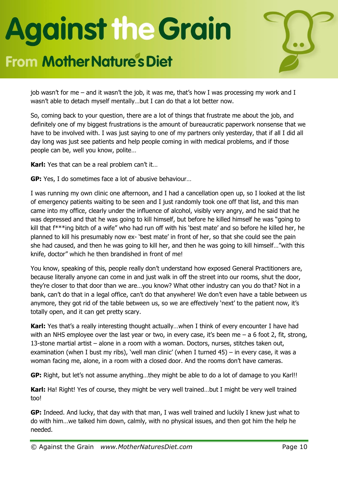### **From Mother Nature's Diet**



job wasn't for me – and it wasn't the job, it was me, that's how I was processing my work and I wasn't able to detach myself mentally…but I can do that a lot better now.

So, coming back to your question, there are a lot of things that frustrate me about the job, and definitely one of my biggest frustrations is the amount of bureaucratic paperwork nonsense that we have to be involved with. I was just saying to one of my partners only yesterday, that if all I did all day long was just see patients and help people coming in with medical problems, and if those people can be, well you know, polite…

**Karl:** Yes that can be a real problem can't it…

**GP:** Yes, I do sometimes face a lot of abusive behaviour…

I was running my own clinic one afternoon, and I had a cancellation open up, so I looked at the list of emergency patients waiting to be seen and I just randomly took one off that list, and this man came into my office, clearly under the influence of alcohol, visibly very angry, and he said that he was depressed and that he was going to kill himself, but before he killed himself he was "going to kill that f\*\*\*ing bitch of a wife" who had run off with his 'best mate' and so before he killed her, he planned to kill his presumably now ex- 'best mate' in front of her, so that she could see the pain she had caused, and then he was going to kill her, and then he was going to kill himself…"with this knife, doctor" which he then brandished in front of me!

You know, speaking of this, people really don't understand how exposed General Practitioners are, because literally anyone can come in and just walk in off the street into our rooms, shut the door, they're closer to that door than we are…you know? What other industry can you do that? Not in a bank, can't do that in a legal office, can't do that anywhere! We don't even have a table between us anymore, they got rid of the table between us, so we are effectively 'next' to the patient now, it's totally open, and it can get pretty scary.

**Karl:** Yes that's a really interesting thought actually...when I think of every encounter I have had with an NHS employee over the last year or two, in every case, it's been me – a 6 foot 2, fit, strong, 13-stone martial artist – alone in a room with a woman. Doctors, nurses, stitches taken out, examination (when I bust my ribs), 'well man clinic' (when I turned 45) – in every case, it was a woman facing me, alone, in a room with a closed door. And the rooms don't have cameras.

**GP:** Right, but let's not assume anything…they might be able to do a lot of damage to you Karl!!

**Karl:** Ha! Right! Yes of course, they might be very well trained…but I might be very well trained too!

**GP:** Indeed. And lucky, that day with that man, I was well trained and luckily I knew just what to do with him…we talked him down, calmly, with no physical issues, and then got him the help he needed.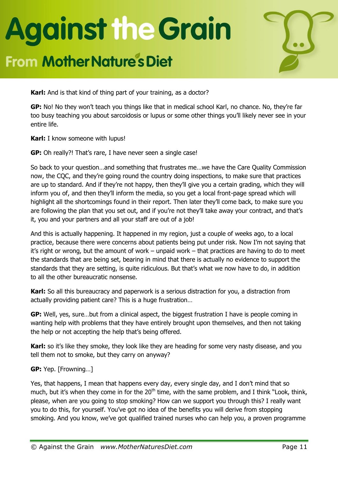### **From Mother Nature's Diet**



**Karl:** And is that kind of thing part of your training, as a doctor?

**GP:** No! No they won't teach you things like that in medical school Karl, no chance. No, they're far too busy teaching you about sarcoidosis or lupus or some other things you'll likely never see in your entire life.

**Karl:** I know someone with lupus!

**GP:** Oh really?! That's rare, I have never seen a single case!

So back to your question…and something that frustrates me…we have the Care Quality Commission now, the CQC, and they're going round the country doing inspections, to make sure that practices are up to standard. And if they're not happy, then they'll give you a certain grading, which they will inform you of, and then they'll inform the media, so you get a local front-page spread which will highlight all the shortcomings found in their report. Then later they'll come back, to make sure you are following the plan that you set out, and if you're not they'll take away your contract, and that's it, you and your partners and all your staff are out of a job!

And this is actually happening. It happened in my region, just a couple of weeks ago, to a local practice, because there were concerns about patients being put under risk. Now I'm not saying that it's right or wrong, but the amount of work – unpaid work – that practices are having to do to meet the standards that are being set, bearing in mind that there is actually no evidence to support the standards that they are setting, is quite ridiculous. But that's what we now have to do, in addition to all the other bureaucratic nonsense.

**Karl:** So all this bureaucracy and paperwork is a serious distraction for you, a distraction from actually providing patient care? This is a huge frustration…

**GP:** Well, yes, sure…but from a clinical aspect, the biggest frustration I have is people coming in wanting help with problems that they have entirely brought upon themselves, and then not taking the help or not accepting the help that's being offered.

**Karl:** so it's like they smoke, they look like they are heading for some very nasty disease, and you tell them not to smoke, but they carry on anyway?

#### **GP:** Yep. [Frowning…]

Yes, that happens, I mean that happens every day, every single day, and I don't mind that so much, but it's when they come in for the 20<sup>th</sup> time, with the same problem, and I think "Look, think, please, when are you going to stop smoking? How can we support you through this? I really want you to do this, for yourself. You've got no idea of the benefits you will derive from stopping smoking. And you know, we've got qualified trained nurses who can help you, a proven programme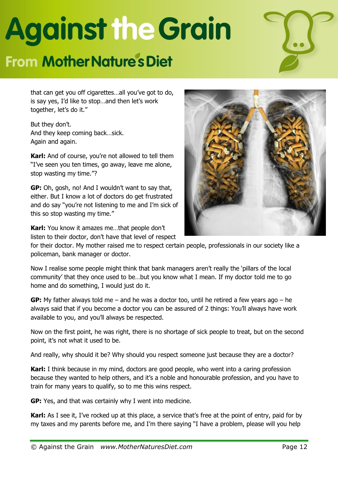### **From Mother Nature's Diet**



that can get you off cigarettes…all you've got to do, is say yes, I'd like to stop…and then let's work together, let's do it."

But they don't. And they keep coming back…sick. Again and again.

**Karl:** And of course, you're not allowed to tell them "I've seen you ten times, go away, leave me alone, stop wasting my time."?

**GP:** Oh, gosh, no! And I wouldn't want to say that, either. But I know a lot of doctors do get frustrated and do say "you're not listening to me and I'm sick of this so stop wasting my time."

**Karl:** You know it amazes me…that people don't listen to their doctor, don't have that level of respect



for their doctor. My mother raised me to respect certain people, professionals in our society like a policeman, bank manager or doctor.

Now I realise some people might think that bank managers aren't really the 'pillars of the local community' that they once used to be…but you know what I mean. If my doctor told me to go home and do something, I would just do it.

**GP:** My father always told me – and he was a doctor too, until he retired a few years ago – he always said that if you become a doctor you can be assured of 2 things: You'll always have work available to you, and you'll always be respected.

Now on the first point, he was right, there is no shortage of sick people to treat, but on the second point, it's not what it used to be.

And really, why should it be? Why should you respect someone just because they are a doctor?

**Karl:** I think because in my mind, doctors are good people, who went into a caring profession because they wanted to help others, and it's a noble and honourable profession, and you have to train for many years to qualify, so to me this wins respect.

**GP:** Yes, and that was certainly why I went into medicine.

**Karl:** As I see it, I've rocked up at this place, a service that's free at the point of entry, paid for by my taxes and my parents before me, and I'm there saying "I have a problem, please will you help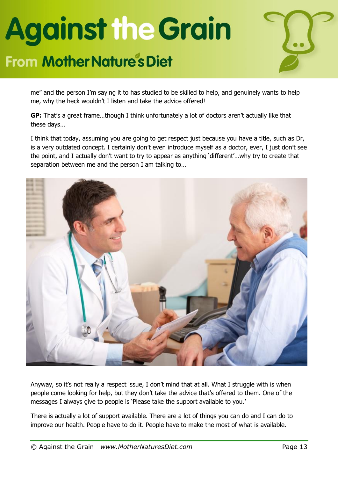#### **From Mother Nature's Diet**



me" and the person I'm saying it to has studied to be skilled to help, and genuinely wants to help me, why the heck wouldn't I listen and take the advice offered!

**GP:** That's a great frame…though I think unfortunately a lot of doctors aren't actually like that these days…

I think that today, assuming you are going to get respect just because you have a title, such as Dr, is a very outdated concept. I certainly don't even introduce myself as a doctor, ever, I just don't see the point, and I actually don't want to try to appear as anything 'different'…why try to create that separation between me and the person I am talking to…



Anyway, so it's not really a respect issue, I don't mind that at all. What I struggle with is when people come looking for help, but they don't take the advice that's offered to them. One of the messages I always give to people is 'Please take the support available to you.'

There is actually a lot of support available. There are a lot of things you can do and I can do to improve our health. People have to do it. People have to make the most of what is available.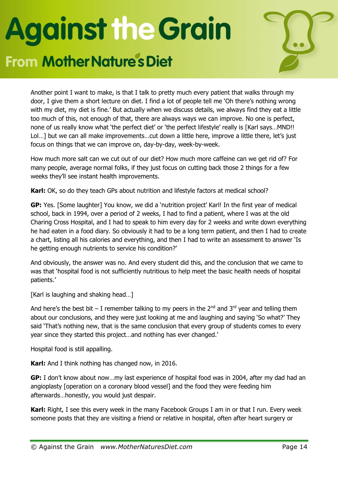### **From Mother Nature's Diet**



Another point I want to make, is that I talk to pretty much every patient that walks through my door, I give them a short lecture on diet. I find a lot of people tell me 'Oh there's nothing wrong with my diet, my diet is fine.' But actually when we discuss details, we always find they eat a little too much of this, not enough of that, there are always ways we can improve. No one is perfect, none of us really know what 'the perfect diet' or 'the perfect lifestyle' really is [Karl says…MND!! Lol...] but we can all make improvements...cut down a little here, improve a little there, let's just focus on things that we can improve on, day-by-day, week-by-week.

How much more salt can we cut out of our diet? How much more caffeine can we get rid of? For many people, average normal folks, if they just focus on cutting back those 2 things for a few weeks they'll see instant health improvements.

**Karl:** OK, so do they teach GPs about nutrition and lifestyle factors at medical school?

**GP:** Yes. [Some laughter] You know, we did a 'nutrition project' Karl! In the first year of medical school, back in 1994, over a period of 2 weeks, I had to find a patient, where I was at the old Charing Cross Hospital, and I had to speak to him every day for 2 weeks and write down everything he had eaten in a food diary. So obviously it had to be a long term patient, and then I had to create a chart, listing all his calories and everything, and then I had to write an assessment to answer 'Is he getting enough nutrients to service his condition?'

And obviously, the answer was no. And every student did this, and the conclusion that we came to was that 'hospital food is not sufficiently nutritious to help meet the basic health needs of hospital patients.'

[Karl is laughing and shaking head...]

And here's the best bit – I remember talking to my peers in the  $2^{nd}$  and  $3^{rd}$  year and telling them about our conclusions, and they were just looking at me and laughing and saying 'So what?' They said 'That's nothing new, that is the same conclusion that every group of students comes to every year since they started this project…and nothing has ever changed.'

Hospital food is still appalling.

**Karl:** And I think nothing has changed now, in 2016.

**GP:** I don't know about now…my last experience of hospital food was in 2004, after my dad had an angioplasty [operation on a coronary blood vessel] and the food they were feeding him afterwards…honestly, you would just despair.

**Karl:** Right, I see this every week in the many Facebook Groups I am in or that I run. Every week someone posts that they are visiting a friend or relative in hospital, often after heart surgery or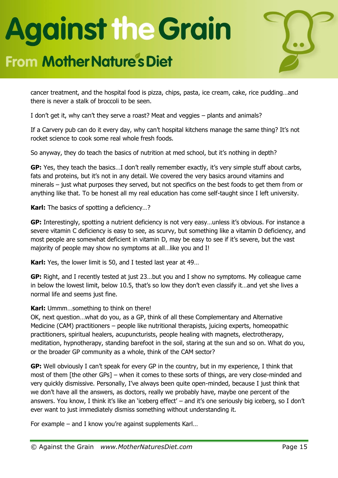#### **From Mother Nature's Diet**



cancer treatment, and the hospital food is pizza, chips, pasta, ice cream, cake, rice pudding…and there is never a stalk of broccoli to be seen.

I don't get it, why can't they serve a roast? Meat and veggies – plants and animals?

If a Carvery pub can do it every day, why can't hospital kitchens manage the same thing? It's not rocket science to cook some real whole fresh foods.

So anyway, they do teach the basics of nutrition at med school, but it's nothing in depth?

**GP:** Yes, they teach the basics…I don't really remember exactly, it's very simple stuff about carbs, fats and proteins, but it's not in any detail. We covered the very basics around vitamins and minerals – just what purposes they served, but not specifics on the best foods to get them from or anything like that. To be honest all my real education has come self-taught since I left university.

**Karl:** The basics of spotting a deficiency…?

**GP:** Interestingly, spotting a nutrient deficiency is not very easy…unless it's obvious. For instance a severe vitamin C deficiency is easy to see, as scurvy, but something like a vitamin D deficiency, and most people are somewhat deficient in vitamin D, may be easy to see if it's severe, but the vast majority of people may show no symptoms at all…like you and I!

**Karl:** Yes, the lower limit is 50, and I tested last year at 49…

**GP:** Right, and I recently tested at just 23…but you and I show no symptoms. My colleague came in below the lowest limit, below 10.5, that's so low they don't even classify it…and yet she lives a normal life and seems just fine.

#### **Karl:** Ummm…something to think on there!

OK, next question…what do you, as a GP, think of all these Complementary and Alternative Medicine (CAM) practitioners – people like nutritional therapists, juicing experts, homeopathic practitioners, spiritual healers, acupuncturists, people healing with magnets, electrotherapy, meditation, hypnotherapy, standing barefoot in the soil, staring at the sun and so on. What do you, or the broader GP community as a whole, think of the CAM sector?

**GP:** Well obviously I can't speak for every GP in the country, but in my experience, I think that most of them [the other GPs] – when it comes to these sorts of things, are very close-minded and very quickly dismissive. Personally, I've always been quite open-minded, because I just think that we don't have all the answers, as doctors, really we probably have, maybe one percent of the answers. You know, I think it's like an 'iceberg effect' – and it's one seriously big iceberg, so I don't ever want to just immediately dismiss something without understanding it.

For example – and I know you're against supplements Karl…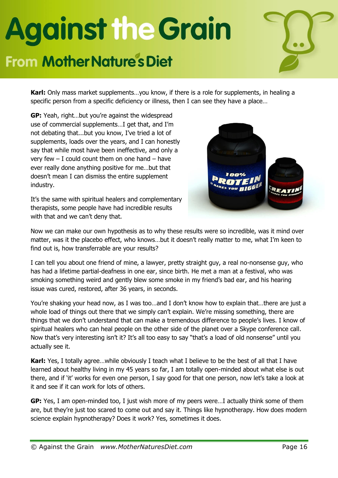### **From Mother Nature's Diet**



**Karl:** Only mass market supplements…you know, if there is a role for supplements, in healing a specific person from a specific deficiency or illness, then I can see they have a place…

**GP:** Yeah, right…but you're against the widespread use of commercial supplements…I get that, and I'm not debating that...but you know, I've tried a lot of supplements, loads over the years, and I can honestly say that while most have been ineffective, and only a very few  $-$  I could count them on one hand  $-$  have ever really done anything positive for me…but that doesn't mean I can dismiss the entire supplement industry.

It's the same with spiritual healers and complementary therapists, some people have had incredible results with that and we can't deny that.



Now we can make our own hypothesis as to why these results were so incredible, was it mind over matter, was it the placebo effect, who knows…but it doesn't really matter to me, what I'm keen to find out is, how transferrable are your results?

I can tell you about one friend of mine, a lawyer, pretty straight guy, a real no-nonsense guy, who has had a lifetime partial-deafness in one ear, since birth. He met a man at a festival, who was smoking something weird and gently blew some smoke in my friend's bad ear, and his hearing issue was cured, restored, after 36 years, in seconds.

You're shaking your head now, as I was too…and I don't know how to explain that…there are just a whole load of things out there that we simply can't explain. We're missing something, there are things that we don't understand that can make a tremendous difference to people's lives. I know of spiritual healers who can heal people on the other side of the planet over a Skype conference call. Now that's very interesting isn't it? It's all too easy to say "that's a load of old nonsense" until you actually see it.

**Karl:** Yes, I totally agree…while obviously I teach what I believe to be the best of all that I have learned about healthy living in my 45 years so far, I am totally open-minded about what else is out there, and if 'it' works for even one person, I say good for that one person, now let's take a look at it and see if it can work for lots of others.

**GP:** Yes, I am open-minded too, I just wish more of my peers were…I actually think some of them are, but they're just too scared to come out and say it. Things like hypnotherapy. How does modern science explain hypnotherapy? Does it work? Yes, sometimes it does.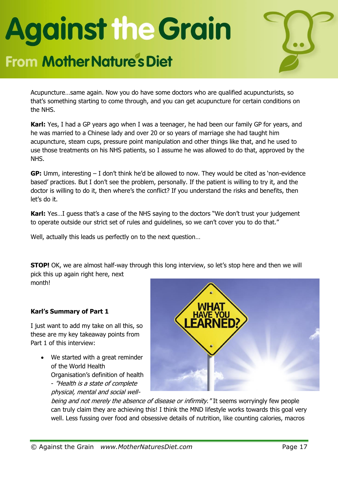#### **From Mother Nature's Diet**



Acupuncture…same again. Now you do have some doctors who are qualified acupuncturists, so that's something starting to come through, and you can get acupuncture for certain conditions on the NHS.

**Karl:** Yes, I had a GP years ago when I was a teenager, he had been our family GP for years, and he was married to a Chinese lady and over 20 or so years of marriage she had taught him acupuncture, steam cups, pressure point manipulation and other things like that, and he used to use those treatments on his NHS patients, so I assume he was allowed to do that, approved by the NHS.

**GP:** Umm, interesting – I don't think he'd be allowed to now. They would be cited as 'non-evidence based' practices. But I don't see the problem, personally. If the patient is willing to try it, and the doctor is willing to do it, then where's the conflict? If you understand the risks and benefits, then let's do it.

**Karl:** Yes…I guess that's a case of the NHS saying to the doctors "We don't trust your judgement to operate outside our strict set of rules and guidelines, so we can't cover you to do that."

Well, actually this leads us perfectly on to the next question…

**STOP!** OK, we are almost half-way through this long interview, so let's stop here and then we will pick this up again right here, next month!

#### **Karl's Summary of Part 1**

I just want to add my take on all this, so these are my key takeaway points from Part 1 of this interview:

 We started with a great reminder of the World Health Organisation's definition of health - "Health is a state of complete physical, mental and social well-



being and not merely the absence of disease or infirmity." It seems worryingly few people can truly claim they are achieving this! I think the MND lifestyle works towards this goal very well. Less fussing over food and obsessive details of nutrition, like counting calories, macros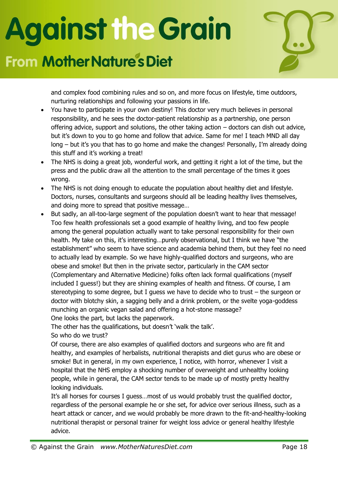#### **From Mother Nature's Diet**



and complex food combining rules and so on, and more focus on lifestyle, time outdoors, nurturing relationships and following your passions in life.

- You have to participate in your own destiny! This doctor very much believes in personal responsibility, and he sees the doctor-patient relationship as a partnership, one person offering advice, support and solutions, the other taking action – doctors can dish out advice, but it's down to you to go home and follow that advice. Same for me! I teach MND all day long – but it's you that has to go home and make the changes! Personally, I'm already doing this stuff and it's working a treat!
- The NHS is doing a great job, wonderful work, and getting it right a lot of the time, but the press and the public draw all the attention to the small percentage of the times it goes wrong.
- The NHS is not doing enough to educate the population about healthy diet and lifestyle. Doctors, nurses, consultants and surgeons should all be leading healthy lives themselves, and doing more to spread that positive message…
- But sadly, an all-too-large segment of the population doesn't want to hear that message! Too few health professionals set a good example of healthy living, and too few people among the general population actually want to take personal responsibility for their own health. My take on this, it's interesting…purely observational, but I think we have "the establishment" who seem to have science and academia behind them, but they feel no need to actually lead by example. So we have highly-qualified doctors and surgeons, who are obese and smoke! But then in the private sector, particularly in the CAM sector (Complementary and Alternative Medicine) folks often lack formal qualifications (myself included I guess!) but they are shining examples of health and fitness. Of course, I am stereotyping to some degree, but I guess we have to decide who to trust – the surgeon or doctor with blotchy skin, a sagging belly and a drink problem, or the svelte yoga-goddess munching an organic vegan salad and offering a hot-stone massage? One looks the part, but lacks the paperwork.

The other has the qualifications, but doesn't 'walk the talk'. So who do we trust?

Of course, there are also examples of qualified doctors and surgeons who are fit and healthy, and examples of herbalists, nutritional therapists and diet gurus who are obese or smoke! But in general, in my own experience, I notice, with horror, whenever I visit a hospital that the NHS employ a shocking number of overweight and unhealthy looking people, while in general, the CAM sector tends to be made up of mostly pretty healthy looking individuals.

It's all horses for courses I guess…most of us would probably trust the qualified doctor, regardless of the personal example he or she set, for advice over serious illness, such as a heart attack or cancer, and we would probably be more drawn to the fit-and-healthy-looking nutritional therapist or personal trainer for weight loss advice or general healthy lifestyle advice.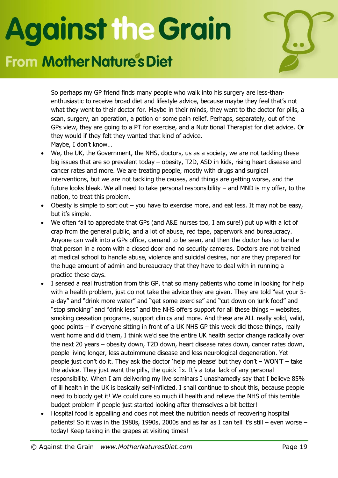#### **From Mother Nature's Diet**



So perhaps my GP friend finds many people who walk into his surgery are less-thanenthusiastic to receive broad diet and lifestyle advice, because maybe they feel that's not what they went to their doctor for. Maybe in their minds, they went to the doctor for pills, a scan, surgery, an operation, a potion or some pain relief. Perhaps, separately, out of the GPs view, they are going to a PT for exercise, and a Nutritional Therapist for diet advice. Or they would if they felt they wanted that kind of advice. Maybe, I don't know…

- We, the UK, the Government, the NHS, doctors, us as a society, we are not tackling these big issues that are so prevalent today – obesity, T2D, ASD in kids, rising heart disease and cancer rates and more. We are treating people, mostly with drugs and surgical interventions, but we are not tackling the causes, and things are getting worse, and the future looks bleak. We all need to take personal responsibility – and MND is my offer, to the nation, to treat this problem.
- Obesity is simple to sort out you have to exercise more, and eat less. It may not be easy, but it's simple.
- We often fail to appreciate that GPs (and A&E nurses too, I am sure!) put up with a lot of crap from the general public, and a lot of abuse, red tape, paperwork and bureaucracy. Anyone can walk into a GPs office, demand to be seen, and then the doctor has to handle that person in a room with a closed door and no security cameras. Doctors are not trained at medical school to handle abuse, violence and suicidal desires, nor are they prepared for the huge amount of admin and bureaucracy that they have to deal with in running a practice these days.
- I sensed a real frustration from this GP, that so many patients who come in looking for help with a health problem, just do not take the advice they are given. They are told "eat your 5 a-day" and "drink more water" and "get some exercise" and "cut down on junk food" and "stop smoking" and "drink less" and the NHS offers support for all these things – websites, smoking cessation programs, support clinics and more. And these are ALL really solid, valid, good points – if everyone sitting in front of a UK NHS GP this week did those things, really went home and did them, I think we'd see the entire UK health sector change radically over the next 20 years – obesity down, T2D down, heart disease rates down, cancer rates down, people living longer, less autoimmune disease and less neurological degeneration. Yet people just don't do it. They ask the doctor 'help me please' but they don't – WON'T – take the advice. They just want the pills, the quick fix. It's a total lack of any personal responsibility. When I am delivering my live seminars I unashamedly say that I believe 85% of ill health in the UK is basically self-inflicted. I shall continue to shout this, because people need to bloody get it! We could cure so much ill health and relieve the NHS of this terrible budget problem if people just started looking after themselves a bit better!
- Hospital food is appalling and does not meet the nutrition needs of recovering hospital patients! So it was in the 1980s, 1990s, 2000s and as far as I can tell it's still – even worse – today! Keep taking in the grapes at visiting times!